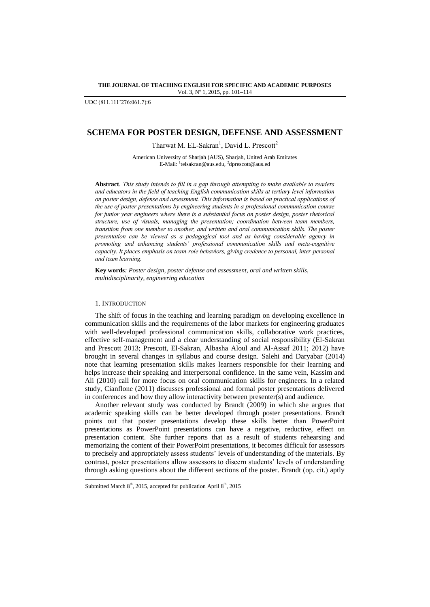**THE JOURNAL OF TEACHING ENGLISH FOR SPECIFIC AND ACADEMIC PURPOSES** Vol. 3, Nº 1, 2015, pp. 101-114

UDC (811.111"276:061.7):6

# **SCHEMA FOR POSTER DESIGN, DEFENSE AND ASSESSMENT**

Tharwat M. EL-Sakran<sup>1</sup>, David L. Prescott<sup>2</sup>

American University of Sharjah (AUS), Sharjah, United Arab Emirates E-Mail: <sup>1</sup>telsakran@aus.edu, <sup>2</sup>dprescott@aus.ed

**Abstract***. This study intends to fill in a gap through attempting to make available to readers and educators in the field of teaching English communication skills at tertiary level information on poster design, defense and assessment. This information is based on practical applications of the use of poster presentations by engineering students in a professional communication course*  for junior year engineers where there is a substantial focus on poster design, poster rhetorical *structure, use of visuals, managing the presentation; coordination between team members, transition from one member to another, and written and oral communication skills. The poster presentation can be viewed as a pedagogical tool and as having considerable agency in promoting and enhancing students' professional communication skills and meta-cognitive capacity. It places emphasis on team-role behaviors, giving credence to personal, inter-personal and team learning.*

**Key words***: Poster design, poster defense and assessment, oral and written skills, multidisciplinarity, engineering education*

#### 1. INTRODUCTION

l

The shift of focus in the teaching and learning paradigm on developing excellence in communication skills and the requirements of the labor markets for engineering graduates with well-developed professional communication skills, collaborative work practices, effective self-management and a clear understanding of social responsibility (El-Sakran and Prescott 2013; Prescott, El-Sakran, Albasha Aloul and Al-Assaf 2011; 2012) have brought in several changes in syllabus and course design. Salehi and Daryabar (2014) note that learning presentation skills makes learners responsible for their learning and helps increase their speaking and interpersonal confidence. In the same vein, Kassim and Ali (2010) call for more focus on oral communication skills for engineers. In a related study, Cianflone (2011) discusses professional and formal poster presentations delivered in conferences and how they allow interactivity between presenter(s) and audience.

Another relevant study was conducted by Brandt (2009) in which she argues that academic speaking skills can be better developed through poster presentations. Brandt points out that poster presentations develop these skills better than PowerPoint presentations as PowerPoint presentations can have a negative, reductive, effect on presentation content. She further reports that as a result of students rehearsing and memorizing the content of their PowerPoint presentations, it becomes difficult for assessors to precisely and appropriately assess students" levels of understanding of the materials. By contrast, poster presentations allow assessors to discern students" levels of understanding through asking questions about the different sections of the poster. Brandt (op. cit.) aptly

Submitted March  $8<sup>th</sup>$ , 2015, accepted for publication April  $8<sup>th</sup>$ , 2015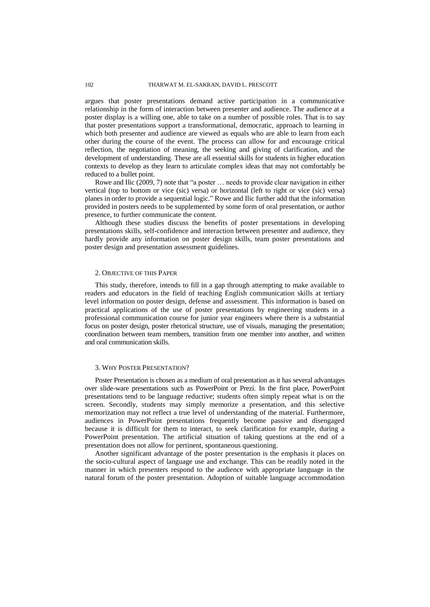argues that poster presentations demand active participation in a communicative relationship in the form of interaction between presenter and audience. The audience at a poster display is a willing one, able to take on a number of possible roles. That is to say that poster presentations support a transformational, democratic, approach to learning in which both presenter and audience are viewed as equals who are able to learn from each other during the course of the event. The process can allow for and encourage critical reflection, the negotiation of meaning, the seeking and giving of clarification, and the development of understanding. These are all essential skills for students in higher education contexts to develop as they learn to articulate complex ideas that may not comfortably be reduced to a bullet point.

Rowe and Ilic (2009, 7) note that "a poster … needs to provide clear navigation in either vertical (top to bottom or vice (sic) versa) or horizontal (left to right or vice (sic) versa) planes in order to provide a sequential logic." Rowe and Ilic further add that the information provided in posters needs to be supplemented by some form of oral presentation, or author presence, to further communicate the content.

Although these studies discuss the benefits of poster presentations in developing presentations skills, self-confidence and interaction between presenter and audience, they hardly provide any information on poster design skills, team poster presentations and poster design and presentation assessment guidelines.

#### 2. OBJECTIVE OF THIS PAPER

This study, therefore, intends to fill in a gap through attempting to make available to readers and educators in the field of teaching English communication skills at tertiary level information on poster design, defense and assessment. This information is based on practical applications of the use of poster presentations by engineering students in a professional communication course for junior year engineers where there is a substantial focus on poster design, poster rhetorical structure, use of visuals, managing the presentation; coordination between team members, transition from one member into another, and written and oral communication skills.

#### 3. WHY POSTER PRESENTATION?

Poster Presentation is chosen as a medium of oral presentation as it has several advantages over slide-ware presentations such as PowerPoint or Prezi. In the first place, PowerPoint presentations tend to be language reductive; students often simply repeat what is on the screen. Secondly, students may simply memorize a presentation, and this selective memorization may not reflect a true level of understanding of the material. Furthermore, audiences in PowerPoint presentations frequently become passive and disengaged because it is difficult for them to interact, to seek clarification for example, during a PowerPoint presentation. The artificial situation of taking questions at the end of a presentation does not allow for pertinent, spontaneous questioning.

Another significant advantage of the poster presentation is the emphasis it places on the socio-cultural aspect of language use and exchange. This can be readily noted in the manner in which presenters respond to the audience with appropriate language in the natural forum of the poster presentation. Adoption of suitable language accommodation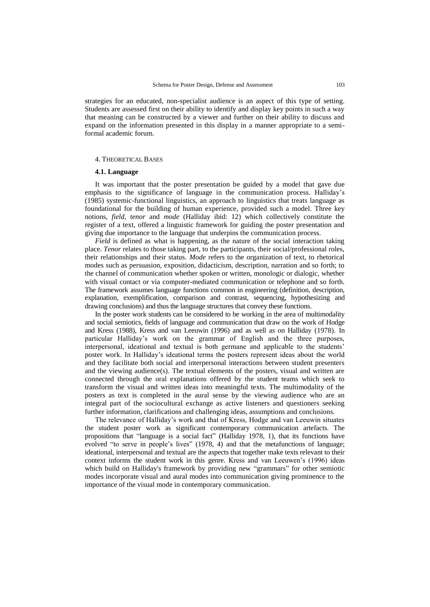strategies for an educated, non-specialist audience is an aspect of this type of setting. Students are assessed first on their ability to identify and display key points in such a way that meaning can be constructed by a viewer and further on their ability to discuss and expand on the information presented in this display in a manner appropriate to a semiformal academic forum.

#### 4. THEORETICAL BASES

## **4.1. Language**

It was important that the poster presentation be guided by a model that gave due emphasis to the significance of language in the communication process. Halliday"s (1985) systemic-functional linguistics, an approach to linguistics that treats language as foundational for the building of human experience, provided such a model. Three key notions, *field, tenor* and *mode* (Halliday ibid: 12) which collectively constitute the register of a text, offered a linguistic framework for guiding the poster presentation and giving due importance to the language that underpins the communication process.

*Field* is defined as what is happening, as the nature of the social interaction taking place. *Tenor* relates to those taking part, to the participants, their social/professional roles, their relationships and their status. *Mode* refers to the organization of text, to rhetorical modes such as persuasion, exposition, didacticism, description, narration and so forth; to the channel of communication whether spoken or written, monologic or dialogic, whether with visual contact or via computer-mediated communication or telephone and so forth. The framework assumes language functions common in engineering (definition, description, explanation, exemplification, comparison and contrast, sequencing, hypothesizing and drawing conclusions) and thus the language structures that convey these functions.

In the poster work students can be considered to be working in the area of multimodality and social semiotics, fields of language and communication that draw on the work of Hodge and Kress (1988), Kress and van Leeuwin (1996) and as well as on Halliday (1978). In particular Halliday"s work on the grammar of English and the three purposes, interpersonal, ideational and textual is both germane and applicable to the students" poster work. In Halliday"s ideational terms the posters represent ideas about the world and they facilitate both social and interpersonal interactions between student presenters and the viewing audience(s). The textual elements of the posters, visual and written are connected through the oral explanations offered by the student teams which seek to transform the visual and written ideas into meaningful texts. The multimodality of the posters as text is completed in the aural sense by the viewing audience who are an integral part of the sociocultural exchange as active listeners and questioners seeking further information, clarifications and challenging ideas, assumptions and conclusions.

The relevance of Halliday"s work and that of Kress, Hodge and van Leeuwin situates the student poster work as significant contemporary communication artefacts. The propositions that "language is a social fact" (Halliday 1978, 1), that its functions have evolved "to serve in people's lives" (1978, 4) and that the metafunctions of language; ideational, interpersonal and textual are the aspects that together make texts relevant to their context informs the student work in this genre. Kress and van Leeuwen's (1996) ideas which build on Halliday's framework by providing new "grammars" for other semiotic modes incorporate visual and aural modes into communication giving prominence to the importance of the visual mode in contemporary communication.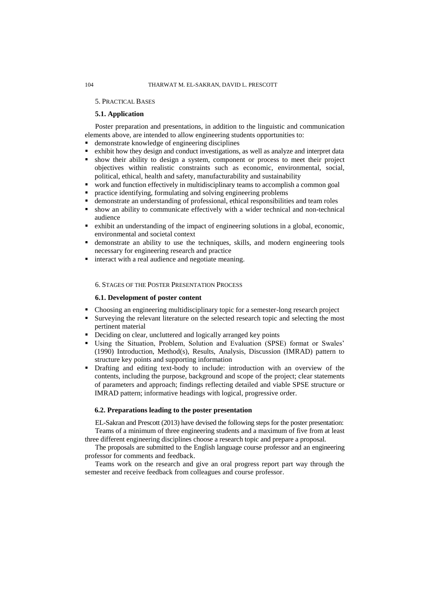## 5. PRACTICAL BASES

# **5.1. Application**

Poster preparation and presentations, in addition to the linguistic and communication elements above, are intended to allow engineering students opportunities to:

- demonstrate knowledge of engineering disciplines
- exhibit how they design and conduct investigations, as well as analyze and interpret data
- show their ability to design a system, component or process to meet their project objectives within realistic constraints such as economic, environmental, social, political, ethical, health and safety, manufacturability and sustainability
- work and function effectively in multidisciplinary teams to accomplish a common goal
- practice identifying, formulating and solving engineering problems
- demonstrate an understanding of professional, ethical responsibilities and team roles
- show an ability to communicate effectively with a wider technical and non-technical audience
- exhibit an understanding of the impact of engineering solutions in a global, economic, environmental and societal context
- demonstrate an ability to use the techniques, skills, and modern engineering tools necessary for engineering research and practice
- interact with a real audience and negotiate meaning.

#### 6. STAGES OF THE POSTER PRESENTATION PROCESS

## **6.1. Development of poster content**

- Choosing an engineering multidisciplinary topic for a semester-long research project
- Surveying the relevant literature on the selected research topic and selecting the most pertinent material
- Deciding on clear, uncluttered and logically arranged key points
- Using the Situation, Problem, Solution and Evaluation (SPSE) format or Swales" (1990) Introduction, Method(s), Results, Analysis, Discussion (IMRAD) pattern to structure key points and supporting information
- Drafting and editing text-body to include: introduction with an overview of the contents, including the purpose, background and scope of the project; clear statements of parameters and approach; findings reflecting detailed and viable SPSE structure or IMRAD pattern; informative headings with logical, progressive order.

## **6.2. Preparations leading to the poster presentation**

EL-Sakran and Prescott (2013) have devised the following steps for the poster presentation: Teams of a minimum of three engineering students and a maximum of five from at least three different engineering disciplines choose a research topic and prepare a proposal.

The proposals are submitted to the English language course professor and an engineering professor for comments and feedback.

Teams work on the research and give an oral progress report part way through the semester and receive feedback from colleagues and course professor.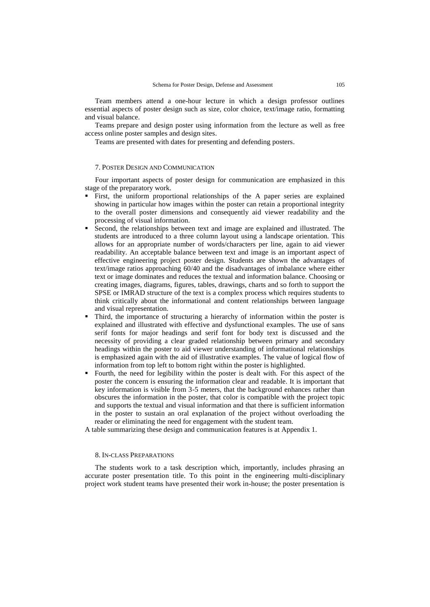Team members attend a one-hour lecture in which a design professor outlines essential aspects of poster design such as size, color choice, text/image ratio, formatting and visual balance.

Teams prepare and design poster using information from the lecture as well as free access online poster samples and design sites.

Teams are presented with dates for presenting and defending posters.

#### 7. POSTER DESIGN AND COMMUNICATION

Four important aspects of poster design for communication are emphasized in this stage of the preparatory work.

- First, the uniform proportional relationships of the A paper series are explained showing in particular how images within the poster can retain a proportional integrity to the overall poster dimensions and consequently aid viewer readability and the processing of visual information.
- Second, the relationships between text and image are explained and illustrated. The students are introduced to a three column layout using a landscape orientation. This allows for an appropriate number of words/characters per line, again to aid viewer readability. An acceptable balance between text and image is an important aspect of effective engineering project poster design. Students are shown the advantages of text/image ratios approaching 60/40 and the disadvantages of imbalance where either text or image dominates and reduces the textual and information balance. Choosing or creating images, diagrams, figures, tables, drawings, charts and so forth to support the SPSE or IMRAD structure of the text is a complex process which requires students to think critically about the informational and content relationships between language and visual representation.
- Third, the importance of structuring a hierarchy of information within the poster is explained and illustrated with effective and dysfunctional examples. The use of sans serif fonts for major headings and serif font for body text is discussed and the necessity of providing a clear graded relationship between primary and secondary headings within the poster to aid viewer understanding of informational relationships is emphasized again with the aid of illustrative examples. The value of logical flow of information from top left to bottom right within the poster is highlighted.
- Fourth, the need for legibility within the poster is dealt with. For this aspect of the poster the concern is ensuring the information clear and readable. It is important that key information is visible from 3-5 meters, that the background enhances rather than obscures the information in the poster, that color is compatible with the project topic and supports the textual and visual information and that there is sufficient information in the poster to sustain an oral explanation of the project without overloading the reader or eliminating the need for engagement with the student team.

A table summarizing these design and communication features is at Appendix 1.

## 8. IN-CLASS PREPARATIONS

The students work to a task description which, importantly, includes phrasing an accurate poster presentation title. To this point in the engineering multi-disciplinary project work student teams have presented their work in-house; the poster presentation is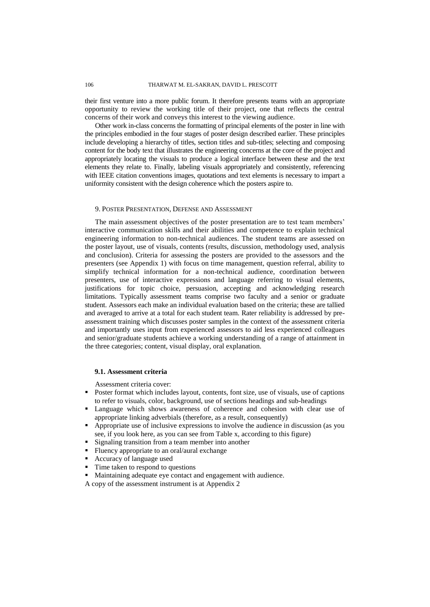## 106 THARWAT M. EL-SAKRAN, DAVID L. PRESCOTT

their first venture into a more public forum. It therefore presents teams with an appropriate opportunity to review the working title of their project, one that reflects the central concerns of their work and conveys this interest to the viewing audience.

Other work in-class concerns the formatting of principal elements of the poster in line with the principles embodied in the four stages of poster design described earlier. These principles include developing a hierarchy of titles, section titles and sub-titles; selecting and composing content for the body text that illustrates the engineering concerns at the core of the project and appropriately locating the visuals to produce a logical interface between these and the text elements they relate to. Finally, labeling visuals appropriately and consistently, referencing with IEEE citation conventions images, quotations and text elements is necessary to impart a uniformity consistent with the design coherence which the posters aspire to.

## 9. POSTER PRESENTATION, DEFENSE AND ASSESSMENT

The main assessment objectives of the poster presentation are to test team members' interactive communication skills and their abilities and competence to explain technical engineering information to non-technical audiences. The student teams are assessed on the poster layout, use of visuals, contents (results, discussion, methodology used, analysis and conclusion). Criteria for assessing the posters are provided to the assessors and the presenters (see Appendix 1) with focus on time management, question referral, ability to simplify technical information for a non-technical audience, coordination between presenters, use of interactive expressions and language referring to visual elements, justifications for topic choice, persuasion, accepting and acknowledging research limitations. Typically assessment teams comprise two faculty and a senior or graduate student. Assessors each make an individual evaluation based on the criteria; these are tallied and averaged to arrive at a total for each student team. Rater reliability is addressed by preassessment training which discusses poster samples in the context of the assessment criteria and importantly uses input from experienced assessors to aid less experienced colleagues and senior/graduate students achieve a working understanding of a range of attainment in the three categories; content, visual display, oral explanation.

### **9.1. Assessment criteria**

Assessment criteria cover:

- Poster format which includes layout, contents, font size, use of visuals, use of captions to refer to visuals, color, background, use of sections headings and sub-headings
- Language which shows awareness of coherence and cohesion with clear use of appropriate linking adverbials (therefore, as a result, consequently)
- Appropriate use of inclusive expressions to involve the audience in discussion (as you see, if you look here, as you can see from Table x, according to this figure)
- Signaling transition from a team member into another
- Fluency appropriate to an oral/aural exchange
- Accuracy of language used
- Time taken to respond to questions
- Maintaining adequate eye contact and engagement with audience.
- A copy of the assessment instrument is at Appendix 2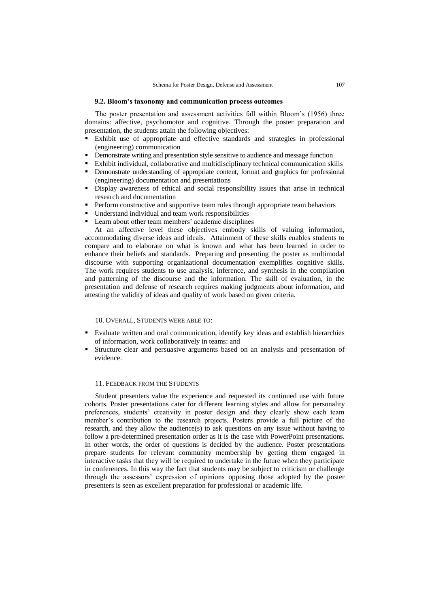## **9.2. Bloom's taxonomy and communication process outcomes**

The poster presentation and assessment activities fall within Bloom"s (1956) three domains: affective, psychomotor and cognitive. Through the poster preparation and presentation, the students attain the following objectives:

- Exhibit use of appropriate and effective standards and strategies in professional (engineering) communication
- **•** Demonstrate writing and presentation style sensitive to audience and message function
- Exhibit individual, collaborative and multidisciplinary technical communication skills
- Demonstrate understanding of appropriate content, format and graphics for professional (engineering) documentation and presentations
- Display awareness of ethical and social responsibility issues that arise in technical research and documentation
- **Perform constructive and supportive team roles through appropriate team behaviors**
- Understand individual and team work responsibilities
- Learn about other team members' academic disciplines

At an affective level these objectives embody skills of valuing information, accommodating diverse ideas and ideals. Attainment of these skills enables students to compare and to elaborate on what is known and what has been learned in order to enhance their beliefs and standards. Preparing and presenting the poster as multimodal discourse with supporting organizational documentation exemplifies cognitive skills. The work requires students to use analysis, inference, and synthesis in the compilation and patterning of the discourse and the information. The skill of evaluation, in the presentation and defense of research requires making judgments about information, and attesting the validity of ideas and quality of work based on given criteria.

## 10. OVERALL, STUDENTS WERE ABLE TO:

- Evaluate written and oral communication, identify key ideas and establish hierarchies of information, work collaboratively in teams: and
- Structure clear and persuasive arguments based on an analysis and presentation of evidence.

## 11. FEEDBACK FROM THE STUDENTS

Student presenters value the experience and requested its continued use with future cohorts. Poster presentations cater for different learning styles and allow for personality preferences, students' creativity in poster design and they clearly show each team member"s contribution to the research projects. Posters provide a full picture of the research, and they allow the audience(s) to ask questions on any issue without having to follow a pre-determined presentation order as it is the case with PowerPoint presentations. In other words, the order of questions is decided by the audience. Poster presentations prepare students for relevant community membership by getting them engaged in interactive tasks that they will be required to undertake in the future when they participate in conferences. In this way the fact that students may be subject to criticism or challenge through the assessors" expression of opinions opposing those adopted by the poster presenters is seen as excellent preparation for professional or academic life.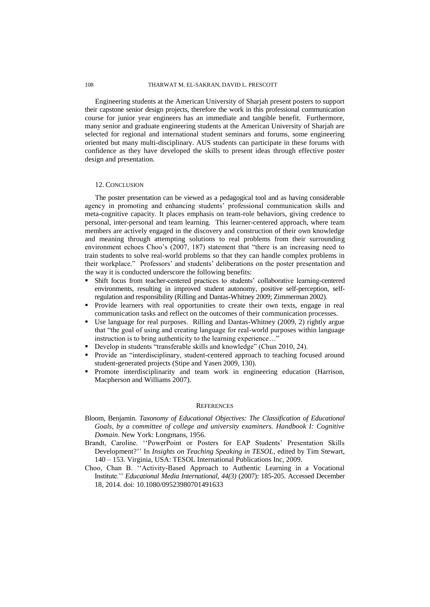Engineering students at the American University of Sharjah present posters to support their capstone senior design projects, therefore the work in this professional communication course for junior year engineers has an immediate and tangible benefit. Furthermore, many senior and graduate engineering students at the American University of Sharjah are selected for regional and international student seminars and forums, some engineering oriented but many multi-disciplinary. AUS students can participate in these forums with confidence as they have developed the skills to present ideas through effective poster design and presentation.

## 12. CONCLUSION

The poster presentation can be viewed as a pedagogical tool and as having considerable agency in promoting and enhancing students' professional communication skills and meta-cognitive capacity. It places emphasis on team-role behaviors, giving credence to personal, inter-personal and team learning. This learner-centered approach, where team members are actively engaged in the discovery and construction of their own knowledge and meaning through attempting solutions to real problems from their surrounding environment echoes Choo's (2007, 187) statement that "there is an increasing need to train students to solve real-world problems so that they can handle complex problems in their workplace." Professors' and students' deliberations on the poster presentation and the way it is conducted underscore the following benefits:

- Shift focus from teacher-centered practices to students" collaborative learning-centered environments, resulting in improved student autonomy, positive self-perception, selfregulation and responsibility (Rilling and Dantas-Whitney 2009; Zimmerman 2002).
- Provide learners with real opportunities to create their own texts, engage in real communication tasks and reflect on the outcomes of their communication processes.
- Use language for real purposes. Rilling and Dantas-Whitney (2009, 2) rightly argue that "the goal of using and creating language for real-world purposes within language instruction is to bring authenticity to the learning experience...'
- Develop in students "transferable skills and knowledge" (Chun 2010, 24).
- Provide an "interdisciplinary, student-centered approach to teaching focused around student-generated projects (Stipe and Yasen 2009, 130).
- Promote interdisciplinarity and team work in engineering education (Harrison, Macpherson and Williams 2007).

## **REFERENCES**

- Bloom, Benjamin. *Taxonomy of Educational Objectives: The Classification of Educational Goals, by a committee of college and university examiners. Handbook I: Cognitive Domain*. New York: Longmans, 1956.
- Brandt, Caroline. "PowerPoint or Posters for EAP Students' Presentation Skills Development?"" In *Insights on Teaching Speaking in TESOL*, edited by Tim Stewart, 140 – 153. Virginia, USA: TESOL International Publications Inc, 2009.
- Choo, Chan B. ""Activity-Based Approach to Authentic Learning in a Vocational Institute."" *Educational Media International, 44(3)* (2007): 185-205. Accessed December 18, 2014. doi: 10.1080/09523980701491633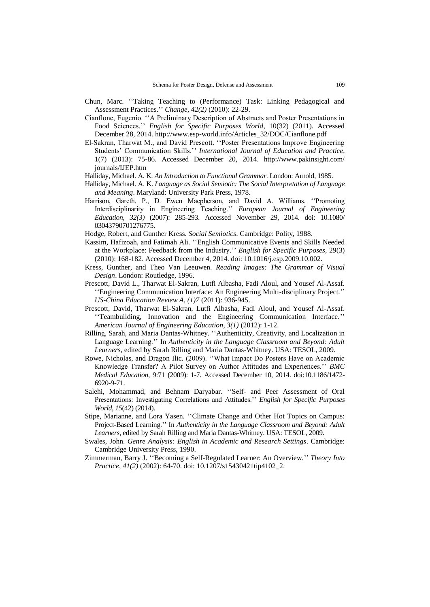- Chun, Marc. ""Taking Teaching to (Performance) Task: Linking Pedagogical and Assessment Practices."" *Change, 42(2)* (2010): 22-29.
- Cianflone, Eugenio. ""A Preliminary Description of Abstracts and Poster Presentations in Food Sciences."" *English for Specific Purposes World*, 10(32) (2011). Accessed December 28, 2014[. http://www.esp-world.info/Articles\\_32/DOC/Cianflone.pdf](http://www.esp-world.info/Articles_32/DOC/Cianflone.pdf)
- El-Sakran, Tharwat M., and David Prescott. ""Poster Presentations Improve Engineering Students" Communication Skills."" *International Journal of Education and Practice*, 1(7) (2013): 75-86. Accessed December 20, 2014. [http://www.pakinsight.com/](http://www.pakinsight.com/journals/IJEP.htm) [journals/IJEP.htm](http://www.pakinsight.com/journals/IJEP.htm)
- Halliday, Michael. A. K. *An Introduction to Functional Grammar*. London: Arnold, 1985.
- Halliday, Michael. A. K. *Language as Social Semiotic: The Social Interpretation of Language and Meaning*. Maryland: University Park Press, 1978.
- Harrison, Gareth. P., D. Ewen Macpherson, and David A. Williams. "Promoting Interdisciplinarity in Engineering Teaching."" *European Journal of Engineering Education, 32(3)* (2007): 285-293. Accessed November 29, 2014. doi: 10.1080/ 03043790701276775.
- Hodge, Robert, and Gunther Kress. *Social Semiotics*. Cambridge: Polity, 1988.
- Kassim, Hafizoah, and Fatimah Ali. ""English Communicative Events and Skills Needed at the Workplace: Feedback from the Industry."" *English for Specific Purposes*, 29(3) (2010): 168-182. Accessed December 4, 2014. doi: 10.1016/j.esp.2009.10.002.
- Kress, Gunther, and Theo Van Leeuwen. *Reading Images: The Grammar of Visual Design*. London: Routledge, 1996.
- Prescott, David L., Tharwat El-Sakran, Lutfi Albasha, Fadi Aloul, and Yousef Al-Assaf. "Engineering Communication Interface: An Engineering Multi-disciplinary Project." *US-China Education Review A, (1)7* (2011): 936-945.
- Prescott, David, Tharwat El-Sakran, Lutfi Albasha, Fadi Aloul, and Yousef Al-Assaf. ""Teambuilding, Innovation and the Engineering Communication Interface."" *American Journal of Engineering Education, 3(1)* (2012): 1-12.
- Rilling, Sarah, and Maria Dantas-Whitney. ""Authenticity, Creativity, and Localization in Language Learning."" In *Authenticity in the Language Classroom and Beyond: Adult Learners*, edited by Sarah Rilling and Maria Dantas-Whitney. USA: TESOL, 2009.
- Rowe, Nicholas, and Dragon Ilic. (2009). ""What Impact Do Posters Have on Academic Knowledge Transfer? A Pilot Survey on Author Attitudes and Experiences."" *BMC Medical Education*, 9:71 (2009): 1-7. Accessed December 10, 2014. doi:10.1186/1472- 6920-9-71.
- Salehi, Mohammad, and Behnam Daryabar. ""Self- and Peer Assessment of Oral Presentations: Investigating Correlations and Attitudes."" *English for Specific Purposes World*, *15*(42) (2014).
- Stipe, Marianne, and Lora Yasen. ""Climate Change and Other Hot Topics on Campus: Project-Based Learning."" In *Authenticity in the Language Classroom and Beyond: Adult Learners*, edited by Sarah Rilling and Maria Dantas-Whitney. USA: TESOL, 2009.
- Swales, John. *Genre Analysis: English in Academic and Research Settings*. Cambridge: Cambridge University Press, 1990.
- Zimmerman, Barry J. ""Becoming a Self-Regulated Learner: An Overview."" *Theory Into Practice, 41(2)* (2002): 64-70. doi: 10.1207/s15430421tip4102\_2.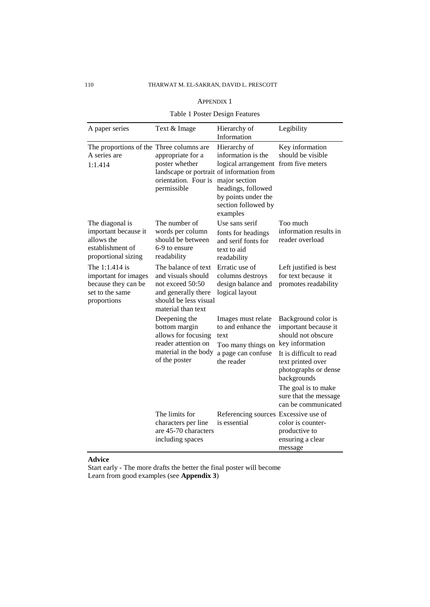# 110 THARWAT M. EL-SAKRAN, DAVID L. PRESCOTT

# APPENDIX 1

# Table 1 Poster Design Features

| A paper series                                                                                   | Text & Image                                                                                                                        | Hierarchy of<br>Information                                                                                                                                                 | Legibility                                                                                                                                                                                                                                         |
|--------------------------------------------------------------------------------------------------|-------------------------------------------------------------------------------------------------------------------------------------|-----------------------------------------------------------------------------------------------------------------------------------------------------------------------------|----------------------------------------------------------------------------------------------------------------------------------------------------------------------------------------------------------------------------------------------------|
| The proportions of the Three columns are<br>A series are<br>1:1.414                              | appropriate for a<br>poster whether<br>landscape or portrait of information from<br>orientation. Four is<br>permissible             | Hierarchy of<br>information is the<br>logical arrangement from five meters<br>major section<br>headings, followed<br>by points under the<br>section followed by<br>examples | Key information<br>should be visible                                                                                                                                                                                                               |
| The diagonal is<br>important because it<br>allows the<br>establishment of<br>proportional sizing | The number of<br>words per column<br>should be between<br>6-9 to ensure<br>readability                                              | Use sans serif<br>fonts for headings<br>and serif fonts for<br>text to aid<br>readability                                                                                   | Too much<br>information results in<br>reader overload                                                                                                                                                                                              |
| The 1:1.414 is<br>important for images<br>because they can be<br>set to the same<br>proportions  | The balance of text<br>and visuals should<br>not exceed 50:50<br>and generally there<br>should be less visual<br>material than text | Erratic use of<br>columns destroys<br>design balance and<br>logical layout                                                                                                  | Left justified is best<br>for text because it<br>promotes readability                                                                                                                                                                              |
|                                                                                                  | Deepening the<br>bottom margin<br>allows for focusing<br>reader attention on<br>material in the body<br>of the poster               | Images must relate<br>to and enhance the<br>text<br>Too many things on<br>a page can confuse<br>the reader                                                                  | Background color is<br>important because it<br>should not obscure<br>key information<br>It is difficult to read<br>text printed over<br>photographs or dense<br>backgrounds<br>The goal is to make<br>sure that the message<br>can be communicated |
|                                                                                                  | The limits for<br>characters per line<br>are 45-70 characters<br>including spaces                                                   | Referencing sources Excessive use of<br>is essential                                                                                                                        | color is counter-<br>productive to<br>ensuring a clear<br>message                                                                                                                                                                                  |

# **Advice**

Start early - The more drafts the better the final poster will become Learn from good examples (see **Appendix 3**)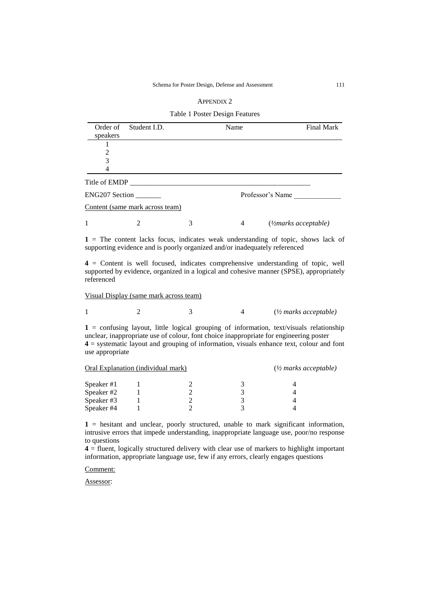| <b>APPENDIX 2</b> |  |
|-------------------|--|
|-------------------|--|

Table 1 Poster Design Features

| Order of<br>speakers  | Student I.D.                    |   | Name             | Final Mark                            |
|-----------------------|---------------------------------|---|------------------|---------------------------------------|
|                       |                                 |   |                  |                                       |
| $\overline{2}$        |                                 |   |                  |                                       |
| 3                     |                                 |   |                  |                                       |
| 4                     |                                 |   |                  |                                       |
| Title of EMDP         |                                 |   |                  |                                       |
| <b>ENG207 Section</b> |                                 |   | Professor's Name |                                       |
|                       | Content (same mark across team) |   |                  |                                       |
| 1                     | $\mathcal{D}_{\mathcal{A}}$     | 3 | 4                | $\left(\frac{1}{2}$ marks acceptable) |

**1** = The content lacks focus, indicates weak understanding of topic, shows lack of supporting evidence and is poorly organized and/or inadequately referenced

**4** = Content is well focused, indicates comprehensive understanding of topic, well supported by evidence, organized in a logical and cohesive manner (SPSE), appropriately referenced

Visual Display (same mark across team)

|  |  |  |  | $\frac{1}{2}$ marks acceptable) |
|--|--|--|--|---------------------------------|
|--|--|--|--|---------------------------------|

 $1 =$  confusing layout, little logical grouping of information, text/visuals relationship unclear, inappropriate use of colour, font choice inappropriate for engineering poster **4** = systematic layout and grouping of information, visuals enhance text, colour and font use appropriate

| Oral Explanation (individual mark) |  |  | $\frac{1}{2}$ marks acceptable) |  |  |
|------------------------------------|--|--|---------------------------------|--|--|
| Speaker #1                         |  |  |                                 |  |  |
| Speaker #2                         |  |  |                                 |  |  |
| Speaker #3                         |  |  |                                 |  |  |
| Speaker #4                         |  |  |                                 |  |  |

**1** = hesitant and unclear, poorly structured, unable to mark significant information, intrusive errors that impede understanding, inappropriate language use, poor/no response to questions

**4** = fluent, logically structured delivery with clear use of markers to highlight important information, appropriate language use, few if any errors, clearly engages questions

Comment:

Assessor: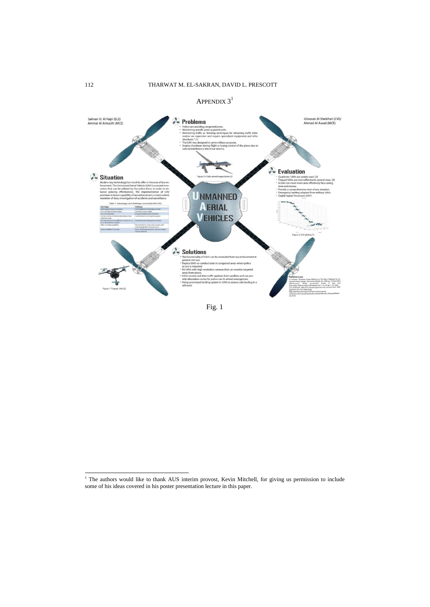



l

<sup>&</sup>lt;sup>1</sup> The authors would like to thank AUS interim provost, Kevin Mitchell, for giving us permission to include some of his ideas covered in his poster presentation lecture in this paper.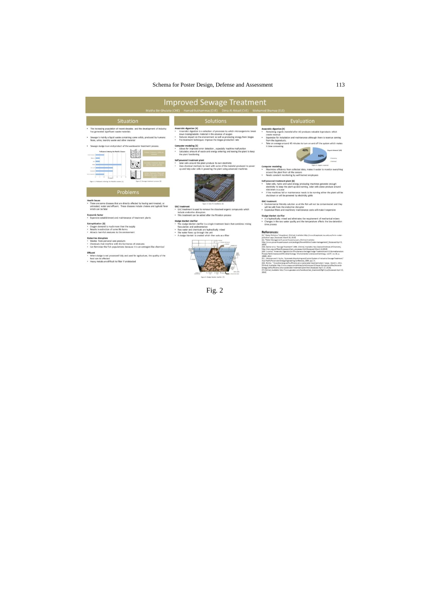# Schema for Poster Design, Defense and Assessment 113

I

|                                                                                                                                                                                                                                                                                                                                                                                                                                                                                                                                                                                                                                                                                                                                                                                                                                                                                                                                                                                                                                                                                                                                                                                                                                                                                                                                                                                                                                                              | <b>Improved Sewage Treatment</b><br>Maitha Bin Ghulaita (CHE) Hamad Bukhammas (CVE) Dima Al Akkad (CVE) Mohamed Shamaa (ELE)                                                                                                                                                                                                                                                                                                                                                                                                                                                                                                                                                                                                                                                                                                                                                                                                                                                                                                                                                                                                                                                                                                                                                                                                                                   |                                                                                                                                                                                                                                                                                                                                                                                                                                                                                                                                                                                                                                                                                                                                                                                                                                                                                                                                                                                                                                                                                                                                                                                                                                                                                                                                                                                                                                                                                                                                                                                                                                                                                                                                                                                                                                                                                                                                                                                                                                                                                                                                                                                                                                                                                                                                                                                                                                                                                                                                                                                                                                                                                                                                                                                                              |
|--------------------------------------------------------------------------------------------------------------------------------------------------------------------------------------------------------------------------------------------------------------------------------------------------------------------------------------------------------------------------------------------------------------------------------------------------------------------------------------------------------------------------------------------------------------------------------------------------------------------------------------------------------------------------------------------------------------------------------------------------------------------------------------------------------------------------------------------------------------------------------------------------------------------------------------------------------------------------------------------------------------------------------------------------------------------------------------------------------------------------------------------------------------------------------------------------------------------------------------------------------------------------------------------------------------------------------------------------------------------------------------------------------------------------------------------------------------|----------------------------------------------------------------------------------------------------------------------------------------------------------------------------------------------------------------------------------------------------------------------------------------------------------------------------------------------------------------------------------------------------------------------------------------------------------------------------------------------------------------------------------------------------------------------------------------------------------------------------------------------------------------------------------------------------------------------------------------------------------------------------------------------------------------------------------------------------------------------------------------------------------------------------------------------------------------------------------------------------------------------------------------------------------------------------------------------------------------------------------------------------------------------------------------------------------------------------------------------------------------------------------------------------------------------------------------------------------------|--------------------------------------------------------------------------------------------------------------------------------------------------------------------------------------------------------------------------------------------------------------------------------------------------------------------------------------------------------------------------------------------------------------------------------------------------------------------------------------------------------------------------------------------------------------------------------------------------------------------------------------------------------------------------------------------------------------------------------------------------------------------------------------------------------------------------------------------------------------------------------------------------------------------------------------------------------------------------------------------------------------------------------------------------------------------------------------------------------------------------------------------------------------------------------------------------------------------------------------------------------------------------------------------------------------------------------------------------------------------------------------------------------------------------------------------------------------------------------------------------------------------------------------------------------------------------------------------------------------------------------------------------------------------------------------------------------------------------------------------------------------------------------------------------------------------------------------------------------------------------------------------------------------------------------------------------------------------------------------------------------------------------------------------------------------------------------------------------------------------------------------------------------------------------------------------------------------------------------------------------------------------------------------------------------------------------------------------------------------------------------------------------------------------------------------------------------------------------------------------------------------------------------------------------------------------------------------------------------------------------------------------------------------------------------------------------------------------------------------------------------------------------------------------------------------|
| Situation                                                                                                                                                                                                                                                                                                                                                                                                                                                                                                                                                                                                                                                                                                                                                                                                                                                                                                                                                                                                                                                                                                                                                                                                                                                                                                                                                                                                                                                    | <b>Solutions</b>                                                                                                                                                                                                                                                                                                                                                                                                                                                                                                                                                                                                                                                                                                                                                                                                                                                                                                                                                                                                                                                                                                                                                                                                                                                                                                                                               | Evaluation                                                                                                                                                                                                                                                                                                                                                                                                                                                                                                                                                                                                                                                                                                                                                                                                                                                                                                                                                                                                                                                                                                                                                                                                                                                                                                                                                                                                                                                                                                                                                                                                                                                                                                                                                                                                                                                                                                                                                                                                                                                                                                                                                                                                                                                                                                                                                                                                                                                                                                                                                                                                                                                                                                                                                                                                   |
| The increasing population of recent decades and the development of industry<br>٠<br>has generated significant waste materials<br>Sewage is mainly a liquid waste containing some solids, produced by humans:<br>feces, urine, laundry waste and other material<br>· Sewage sludge is an end product of the wastewater treatment process.<br><b>Pollutants Entering the World's Oceans</b><br><b>HALLMAN BEERE</b><br><b>Hara</b> House<br>Figure 3: Sewage treatment process [2]<br>Figure 3: Pollutures entering the World's covars (X)<br>Problems<br><b>Health issues</b><br>. There are some diseases that are directly affected by having semi-treated, or<br>untreated, water and effluent. These diseases include cholera and typhoid fever<br>which can be fatal<br><b>Economic factor</b><br>· Expensive establishment and maintenance of treatment plants<br><b>Eutrophication [3]</b><br>. Oxygen demand is much more than the supply<br>· Results in extinction of some life forms<br>* Attracts harmful creatures to the environment<br><b>Endocrine disruptors</b><br>· Wastes from personal care products<br>. Chemicals that interfere with the hormones of creatures<br>. Can feminize the fish populations because it is an estrogen like chemical<br><b>Effluent</b><br>. When sludge is not processed fully and used for agriculture, the quality of the<br>food can be affected<br>. Heavy metals are difficult to filter if undetected | Anaerobic digestion [4]<br>Anaerobic digestion is a collection of processes by which microorganisms break<br>٠<br>down biodegradable material in the absence of oxygen<br>Reduces impact on the environment as well as producing energy from biogas<br>Pre-treatment techniques improve the biogas production rate<br>٠<br>Computer modeling [5]<br>٠<br>Allows for improved error detection , especially machine malfunction<br>Calculates amount of waste and energy entering and leaving the plant to keep<br>٠<br>the plant functioning<br>Self powered treatment plant<br>٠<br>Solar cells around the plant produce its own electricity<br>Uses chemical methods to react with some of the material produced to power<br>٠<br>up and help solar cells in powering the plant using advanced machines.<br>Figure 3: Solar PV installation (6).<br><b>GAC</b> treatment<br>. GAC treatment is used to remove the dissolved organic compounds which<br>include endocrine disruptors<br>. This treatment can be added after the filtration process<br>Sludge blanket clarifier<br>. The sludge blanket clarifier is a single treatment basin that combines mixing<br>flocculation and sedimentation<br>. Raw water and chemicals are hydraulically mixed<br>. The water flows up through the unit<br>. A sludge blanket is created which then acts as a filter | Anaerobic digestion [4]<br>Remaining organic material after AD produces valuable byproducts which<br>$\cdot$<br>create revenue<br>Expensive for installation and maintenance although there is revenue coming.<br>$\bullet$<br>from the byproducts.<br>Take on average around 45 minutes to turn on and off the system which makes<br>٠<br>it time consuming<br>Organic Material (AD)<br>60%<br><b>6 Barnettes</b><br><b>I</b> Rentwick<br>Figure 4: Organic material<br><b>Computer modeling</b><br>. Maximizes efficiency from collected data, makes it easier to monitor everything<br>around the plant from all the sensors<br>Needs constant monitoring by well trained employees<br>٠<br>Self powered treatment plant [6]<br>· Solar cells, hydro and wind energy producing machines generate enough<br>electricity to keep the plant up and running, solar cells alone produce around<br>450 MWh in a year<br>if the machines fail or maintenance needs to be running either the plant will be<br>shutdown or will be powered by electricity grids.<br><b>GAC</b> treatment<br>. Environmental friendly solution as all the fish will not be contaminated and they<br>will be safe from the endocrine disruptor<br>. Expensive filters and machinery maintenance costs will make it expensive<br>Sludge blanket clarifier<br>. It is hydraulically mixed and eliminates the requirement of mechanical mixers<br>. Changes in the raw water quality and the temperature affects the low-detention<br>time process<br><b>References:</b><br>[1] "Water Pollution," blueplanet, [Online]. Available: http://www.blueplanet.nsw.edu.au/mrm-water-<br>pollution/.aspx. [Accessed: March 10, 2014]<br>[2], "Water Management", powerhousemusuem, [Online] Available:<br>http://www.powerhousemuseum.com/ecologic/the-exhibition/water-management/, [Accessed April 5,<br>2014]<br>[3]G. Balmer et al, "Sewage Treatment", 1998. [Online]. Available: New Zealand Institute of Chemistry,<br>http://nziz.org.nz/ChemProcesses/chem.processes.html [Accessed: March 10.2014]<br>(4)G. Luo et al, "Anaerobic Digestion for Simultaneous Sevrage Sludge Treatment and CO Biomethanation<br>Process Performance and Microbial Ecology," Environmental science and techniogy, vol 47, no. 18, p.<br>10685, 2013<br>[5] L. Weixuan and S. Yuzhu, "Automatic Monitoring and Control System of Industrial Sewage Treatment,"<br>Asia-Pacific Power and Energy Engineering Conference, 2009, pp.1-4.<br>[6]E. Ritchie, " Towards energy self-sufficiency at a wastewater treatment plant," coupp, March 1, 2011.<br>[Online]. Available: http://www.cospp.com/articles/print/volume-12/issue-2/project-profiles/towards-<br>energy-self-sufficiency-at-a-wastewater-treatment-plant.html (Accessed: April, 17, 2014). |
|                                                                                                                                                                                                                                                                                                                                                                                                                                                                                                                                                                                                                                                                                                                                                                                                                                                                                                                                                                                                                                                                                                                                                                                                                                                                                                                                                                                                                                                              | Figure 3: Victor Market clarifier [7]                                                                                                                                                                                                                                                                                                                                                                                                                                                                                                                                                                                                                                                                                                                                                                                                                                                                                                                                                                                                                                                                                                                                                                                                                                                                                                                          | [7] [Online], Available: http://www.gewater.com/handbook/ext_treatment/fig5-2.jsp [Accessed: April 13,<br>20141                                                                                                                                                                                                                                                                                                                                                                                                                                                                                                                                                                                                                                                                                                                                                                                                                                                                                                                                                                                                                                                                                                                                                                                                                                                                                                                                                                                                                                                                                                                                                                                                                                                                                                                                                                                                                                                                                                                                                                                                                                                                                                                                                                                                                                                                                                                                                                                                                                                                                                                                                                                                                                                                                              |

Fig. 2